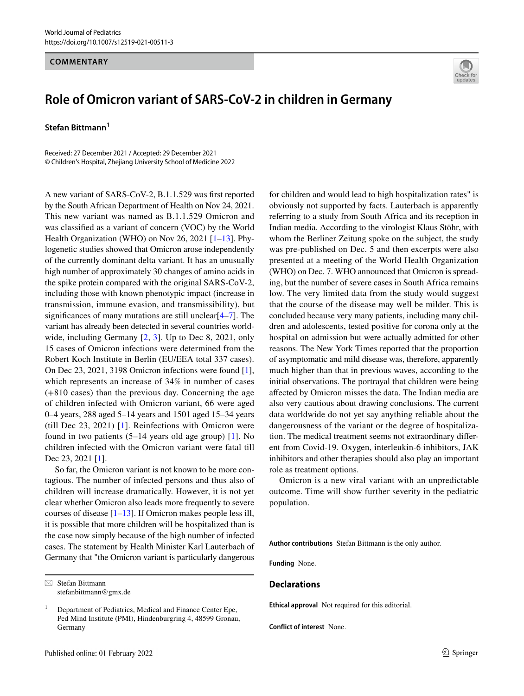## **COMMENTARY**



## **Role of Omicron variant of SARS‑CoV‑2 in children in Germany**

**Stefan Bittmann1**

Received: 27 December 2021 / Accepted: 29 December 2021 © Children's Hospital, Zhejiang University School of Medicine 2022

A new variant of SARS-CoV-2, B.1.1.529 was frst reported by the South African Department of Health on Nov 24, 2021. This new variant was named as B.1.1.529 Omicron and was classifed as a variant of concern (VOC) by the World Health Organization (WHO) on Nov 26, 2021 [[1–](#page-1-0)[13](#page-1-1)]. Phylogenetic studies showed that Omicron arose independently of the currently dominant delta variant. It has an unusually high number of approximately 30 changes of amino acids in the spike protein compared with the original SARS-CoV-2, including those with known phenotypic impact (increase in transmission, immune evasion, and transmissibility), but signifcances of many mutations are still unclear[[4–](#page-1-2)[7](#page-1-3)]. The variant has already been detected in several countries worldwide, including Germany  $[2, 3]$  $[2, 3]$  $[2, 3]$  $[2, 3]$ . Up to Dec 8, 2021, only 15 cases of Omicron infections were determined from the Robert Koch Institute in Berlin (EU/EEA total 337 cases). On Dec 23, 2021, 3198 Omicron infections were found [\[1](#page-1-0)], which represents an increase of 34% in number of cases (+810 cases) than the previous day. Concerning the age of children infected with Omicron variant, 66 were aged 0–4 years, 288 aged 5–14 years and 1501 aged 15–34 years (till Dec 23, 2021) [[1](#page-1-0)]. Reinfections with Omicron were found in two patients (5–14 years old age group) [[1\]](#page-1-0). No children infected with the Omicron variant were fatal till Dec 23, 2021 [[1\]](#page-1-0).

So far, the Omicron variant is not known to be more contagious. The number of infected persons and thus also of children will increase dramatically. However, it is not yet clear whether Omicron also leads more frequently to severe courses of disease  $[1-13]$  $[1-13]$ . If Omicron makes people less ill, it is possible that more children will be hospitalized than is the case now simply because of the high number of infected cases. The statement by Health Minister Karl Lauterbach of Germany that "the Omicron variant is particularly dangerous

Published online: 01 February 2022

for children and would lead to high hospitalization rates" is obviously not supported by facts. Lauterbach is apparently referring to a study from South Africa and its reception in Indian media. According to the virologist Klaus Stöhr, with whom the Berliner Zeitung spoke on the subject, the study was pre-published on Dec. 5 and then excerpts were also presented at a meeting of the World Health Organization (WHO) on Dec. 7. WHO announced that Omicron is spreading, but the number of severe cases in South Africa remains low. The very limited data from the study would suggest that the course of the disease may well be milder. This is concluded because very many patients, including many children and adolescents, tested positive for corona only at the hospital on admission but were actually admitted for other reasons. The New York Times reported that the proportion of asymptomatic and mild disease was, therefore, apparently much higher than that in previous waves, according to the initial observations. The portrayal that children were being afected by Omicron misses the data. The Indian media are also very cautious about drawing conclusions. The current data worldwide do not yet say anything reliable about the dangerousness of the variant or the degree of hospitalization. The medical treatment seems not extraordinary diferent from Covid-19. Oxygen, interleukin-6 inhibitors, JAK inhibitors and other therapies should also play an important role as treatment options.

Omicron is a new viral variant with an unpredictable outcome. Time will show further severity in the pediatric population.

**Author contributions** Stefan Bittmann is the only author.

**Funding** None.

## **Declarations**

**Ethical approval** Not required for this editorial.

**Conflict of interest** None.

 $\boxtimes$  Stefan Bittmann stefanbittmann@gmx.de

<sup>1</sup> Department of Pediatrics, Medical and Finance Center Epe, Ped Mind Institute (PMI), Hindenburgring 4, 48599 Gronau, Germany